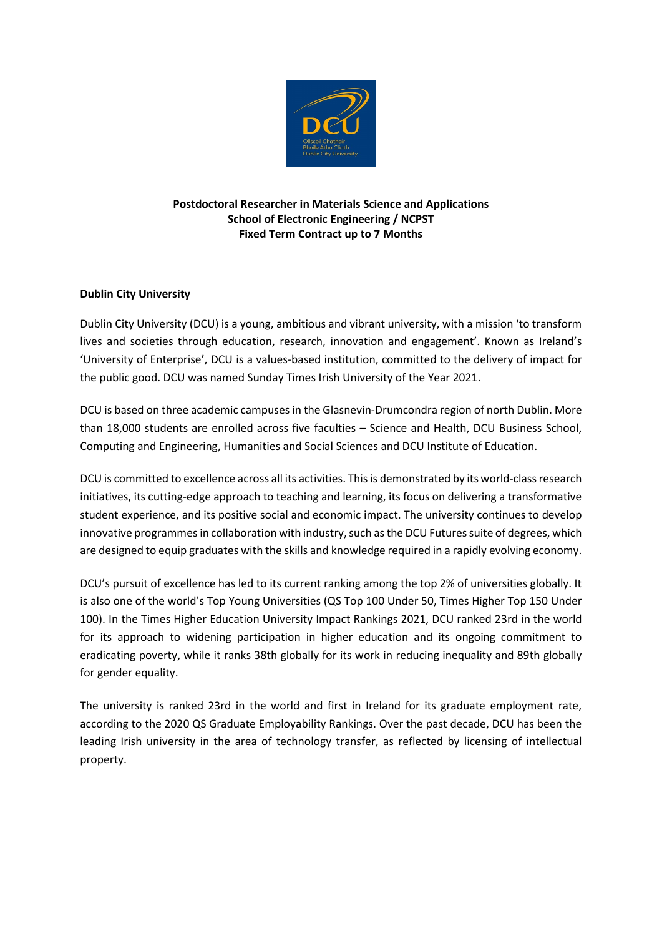

# **Postdoctoral Researcher in Materials Science and Applications School of Electronic Engineering / NCPST Fixed Term Contract up to 7 Months**

## **Dublin City University**

Dublin City University (DCU) is a young, ambitious and vibrant university, with a mission 'to transform lives and societies through education, research, innovation and engagement'. Known as Ireland's 'University of Enterprise', DCU is a values-based institution, committed to the delivery of impact for the public good. DCU was named Sunday Times Irish University of the Year 2021.

DCU is based on three academic campuses in the Glasnevin-Drumcondra region of north Dublin. More than 18,000 students are enrolled across five faculties – Science and Health, DCU Business School, Computing and Engineering, Humanities and Social Sciences and DCU Institute of Education.

DCU is committed to excellence across all its activities. This is demonstrated by its world-class research initiatives, its cutting-edge approach to teaching and learning, its focus on delivering a transformative student experience, and its positive social and economic impact. The university continues to develop innovative programmes in collaboration with industry, such as the DCU Futures suite of degrees, which are designed to equip graduates with the skills and knowledge required in a rapidly evolving economy.

DCU's pursuit of excellence has led to its current ranking among the top 2% of universities globally. It is also one of the world's Top Young Universities (QS Top 100 Under 50, Times Higher Top 150 Under 100). In the Times Higher Education University Impact Rankings 2021, DCU ranked 23rd in the world for its approach to widening participation in higher education and its ongoing commitment to eradicating poverty, while it ranks 38th globally for its work in reducing inequality and 89th globally for gender equality.

The university is ranked 23rd in the world and first in Ireland for its graduate employment rate, according to the 2020 QS Graduate Employability Rankings. Over the past decade, DCU has been the leading Irish university in the area of technology transfer, as reflected by licensing of intellectual property.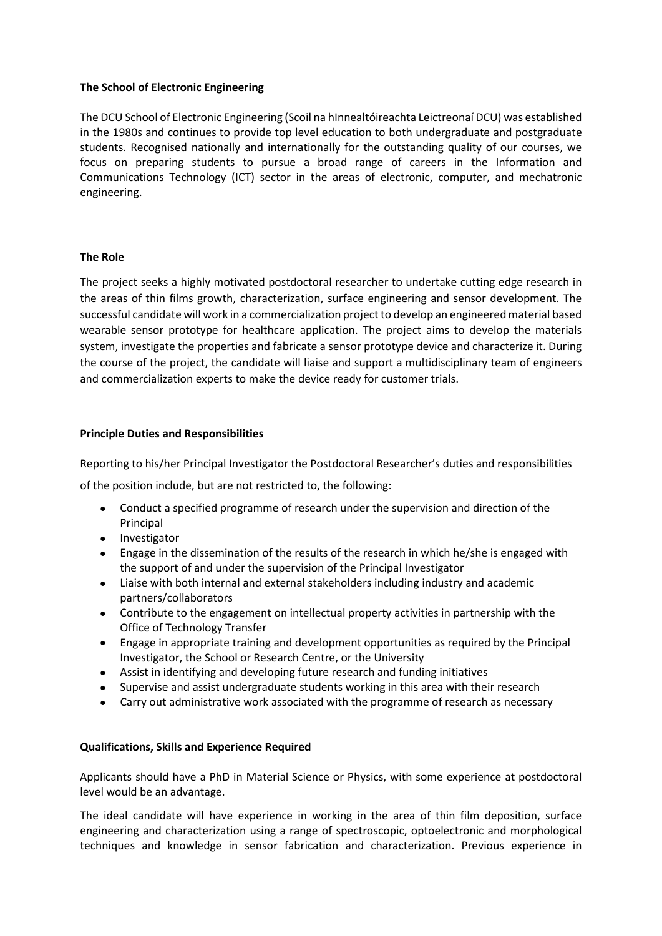### **The School of Electronic Engineering**

The DCU School of Electronic Engineering (Scoil na hInnealtóireachta Leictreonaí DCU) was established in the 1980s and continues to provide top level education to both undergraduate and postgraduate students. Recognised nationally and internationally for the outstanding quality of our courses, we focus on preparing students to pursue a broad range of careers in the Information and Communications Technology (ICT) sector in the areas of electronic, computer, and mechatronic engineering.

## **The Role**

The project seeks a highly motivated postdoctoral researcher to undertake cutting edge research in the areas of thin films growth, characterization, surface engineering and sensor development. The successful candidate will work in a commercialization project to develop an engineered material based wearable sensor prototype for healthcare application. The project aims to develop the materials system, investigate the properties and fabricate a sensor prototype device and characterize it. During the course of the project, the candidate will liaise and support a multidisciplinary team of engineers and commercialization experts to make the device ready for customer trials.

## **Principle Duties and Responsibilities**

Reporting to his/her Principal Investigator the Postdoctoral Researcher's duties and responsibilities

of the position include, but are not restricted to, the following:

- Conduct a specified programme of research under the supervision and direction of the Principal
- Investigator
- Engage in the dissemination of the results of the research in which he/she is engaged with the support of and under the supervision of the Principal Investigator
- Liaise with both internal and external stakeholders including industry and academic partners/collaborators
- Contribute to the engagement on intellectual property activities in partnership with the Office of Technology Transfer
- Engage in appropriate training and development opportunities as required by the Principal Investigator, the School or Research Centre, or the University
- Assist in identifying and developing future research and funding initiatives
- Supervise and assist undergraduate students working in this area with their research
- Carry out administrative work associated with the programme of research as necessary

### **Qualifications, Skills and Experience Required**

Applicants should have a PhD in Material Science or Physics, with some experience at postdoctoral level would be an advantage.

The ideal candidate will have experience in working in the area of thin film deposition, surface engineering and characterization using a range of spectroscopic, optoelectronic and morphological techniques and knowledge in sensor fabrication and characterization. Previous experience in